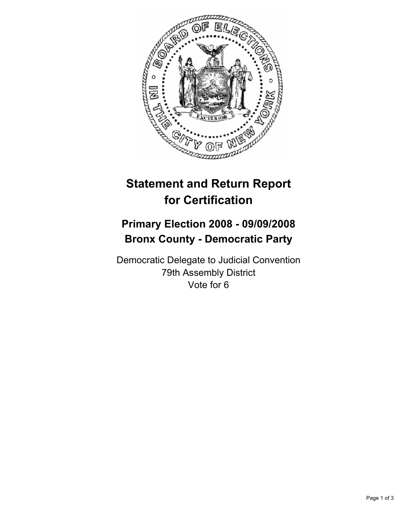

## **Statement and Return Report for Certification**

## **Primary Election 2008 - 09/09/2008 Bronx County - Democratic Party**

Democratic Delegate to Judicial Convention 79th Assembly District Vote for 6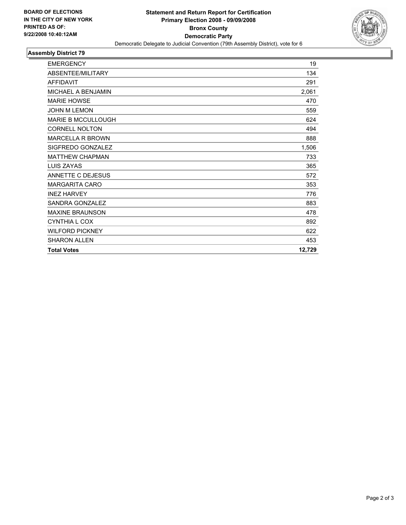

## **Assembly District 79**

| <b>EMERGENCY</b>          | 19     |
|---------------------------|--------|
| ABSENTEE/MILITARY         | 134    |
| <b>AFFIDAVIT</b>          | 291    |
| MICHAEL A BENJAMIN        | 2,061  |
| <b>MARIE HOWSE</b>        | 470    |
| <b>JOHN M LEMON</b>       | 559    |
| <b>MARIE B MCCULLOUGH</b> | 624    |
| <b>CORNELL NOLTON</b>     | 494    |
| <b>MARCELLA R BROWN</b>   | 888    |
| SIGFREDO GONZALEZ         | 1,506  |
| <b>MATTHEW CHAPMAN</b>    | 733    |
| LUIS ZAYAS                | 365    |
| <b>ANNETTE C DEJESUS</b>  | 572    |
| <b>MARGARITA CARO</b>     | 353    |
| <b>INEZ HARVEY</b>        | 776    |
| SANDRA GONZALEZ           | 883    |
| <b>MAXINE BRAUNSON</b>    | 478    |
| <b>CYNTHIA L COX</b>      | 892    |
| <b>WILFORD PICKNEY</b>    | 622    |
| <b>SHARON ALLEN</b>       | 453    |
| <b>Total Votes</b>        | 12,729 |